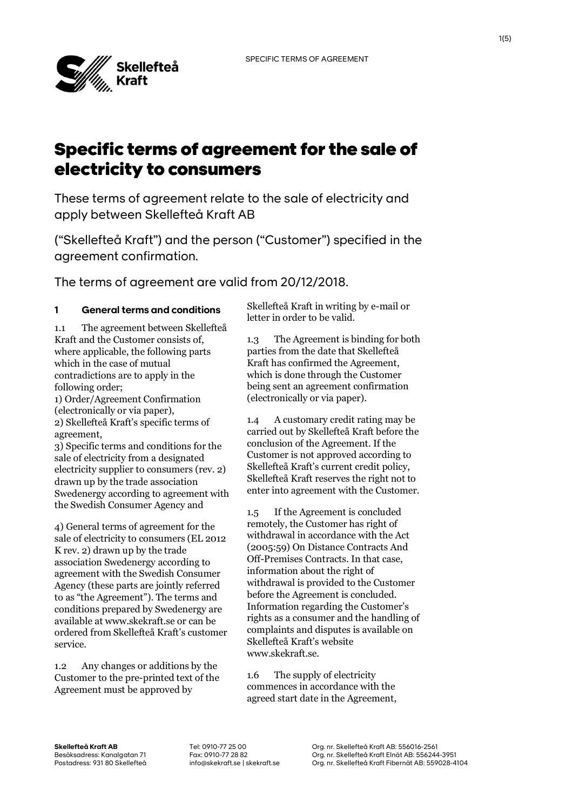

# Specific terms of agreement for the sale of electricity to consumers

These terms of agreement relate to the sale of electricity and apply between Skellefteå Kraft AB

("Skellefteå Kraft") and the person ("Customer") specified in the agreement confirmation.

The terms of agreement are valid from 20/12/2018.

## **1 General terms and conditions**

1.1 The agreement between Skellefteå Kraft and the Customer consists of, where applicable, the following parts which in the case of mutual contradictions are to apply in the following order;

1) Order/Agreement Confirmation (electronically or via paper), 2) Skellefteå Kraft's specific terms of agreement,

3) Specific terms and conditions for the sale of electricity from a designated electricity supplier to consumers (rev. 2) drawn up by the trade association Swedenergy according to agreement with the Swedish Consumer Agency and

4) General terms of agreement for the sale of electricity to consumers (EL 2012 K rev. 2) drawn up by the trade association Swedenergy according to agreement with the Swedish Consumer Agency (these parts are jointly referred to as "the Agreement"). The terms and conditions prepared by Swedenergy are available at www.skekraft.se or can be ordered from Skellefteå Kraft's customer service.

1.2 Any changes or additions by the Customer to the pre-printed text of the Agreement must be approved by

Skellefteå Kraft in writing by e-mail or letter in order to be valid.

1.3 The Agreement is binding for both parties from the date that Skellefteå Kraft has confirmed the Agreement, which is done through the Customer being sent an agreement confirmation (electronically or via paper).

1.4 A customary credit rating may be carried out by Skellefteå Kraft before the conclusion of the Agreement. If the Customer is not approved according to Skellefteå Kraft's current credit policy, Skellefteå Kraft reserves the right not to enter into agreement with the Customer.

1.5 If the Agreement is concluded remotely, the Customer has right of withdrawal in accordance with the Act (2005:59) On Distance Contracts And Off-Premises Contracts. In that case, information about the right of withdrawal is provided to the Customer before the Agreement is concluded. Information regarding the Customer's rights as a consumer and the handling of complaints and disputes is available on Skellefteå Kraft's website www.skekraft.se.

1.6 The supply of electricity commences in accordance with the agreed start date in the Agreement,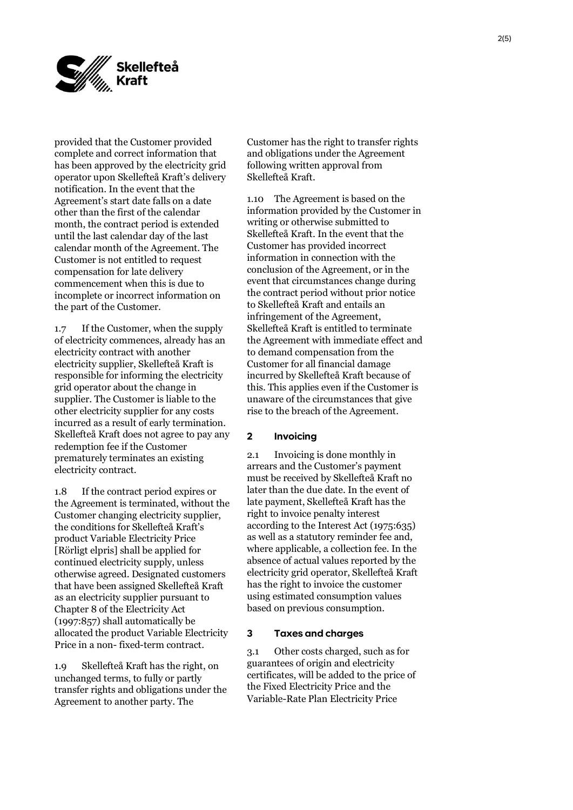

provided that the Customer provided complete and correct information that has been approved by the electricity grid operator upon Skellefteå Kraft's delivery notification. In the event that the Agreement's start date falls on a date other than the first of the calendar month, the contract period is extended until the last calendar day of the last calendar month of the Agreement. The Customer is not entitled to request compensation for late delivery commencement when this is due to incomplete or incorrect information on the part of the Customer.

1.7 If the Customer, when the supply of electricity commences, already has an electricity contract with another electricity supplier, Skellefteå Kraft is responsible for informing the electricity grid operator about the change in supplier. The Customer is liable to the other electricity supplier for any costs incurred as a result of early termination. Skellefteå Kraft does not agree to pay any redemption fee if the Customer prematurely terminates an existing electricity contract.

1.8 If the contract period expires or the Agreement is terminated, without the Customer changing electricity supplier, the conditions for Skellefteå Kraft's product Variable Electricity Price [Rörligt elpris] shall be applied for continued electricity supply, unless otherwise agreed. Designated customers that have been assigned Skellefteå Kraft as an electricity supplier pursuant to Chapter 8 of the Electricity Act (1997:857) shall automatically be allocated the product Variable Electricity Price in a non- fixed-term contract.

1.9 Skellefteå Kraft has the right, on unchanged terms, to fully or partly transfer rights and obligations under the Agreement to another party. The

Customer has the right to transfer rights and obligations under the Agreement following written approval from Skellefteå Kraft.

1.10 The Agreement is based on the information provided by the Customer in writing or otherwise submitted to Skellefteå Kraft. In the event that the Customer has provided incorrect information in connection with the conclusion of the Agreement, or in the event that circumstances change during the contract period without prior notice to Skellefteå Kraft and entails an infringement of the Agreement, Skellefteå Kraft is entitled to terminate the Agreement with immediate effect and to demand compensation from the Customer for all financial damage incurred by Skellefteå Kraft because of this. This applies even if the Customer is unaware of the circumstances that give rise to the breach of the Agreement.

### **2 Invoicing**

2.1 Invoicing is done monthly in arrears and the Customer's payment must be received by Skellefteå Kraft no later than the due date. In the event of late payment, Skellefteå Kraft has the right to invoice penalty interest according to the Interest Act (1975:635) as well as a statutory reminder fee and, where applicable, a collection fee. In the absence of actual values reported by the electricity grid operator, Skellefteå Kraft has the right to invoice the customer using estimated consumption values based on previous consumption.

#### **3 Taxes and charges**

3.1 Other costs charged, such as for guarantees of origin and electricity certificates, will be added to the price of the Fixed Electricity Price and the Variable-Rate Plan Electricity Price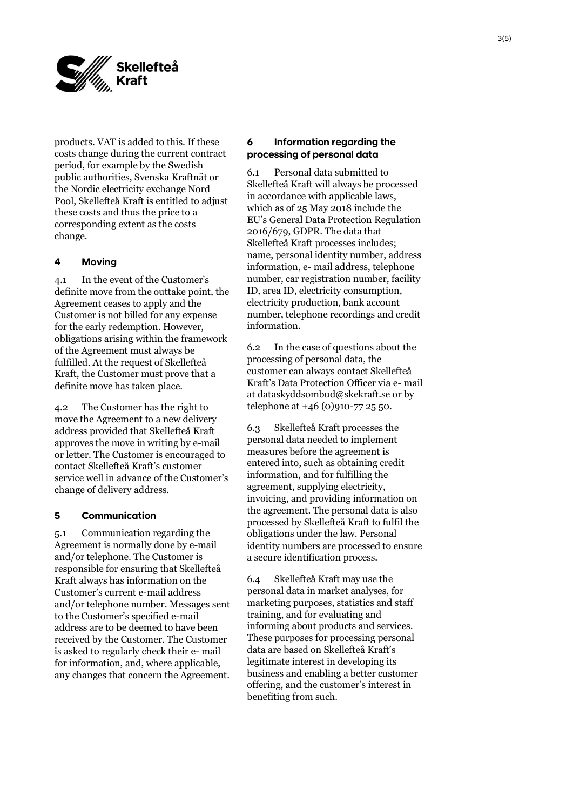

products. VAT is added to this. If these costs change during the current contract period, for example by the Swedish public authorities, Svenska Kraftnät or the Nordic electricity exchange Nord Pool, Skellefteå Kraft is entitled to adjust these costs and thus the price to a corresponding extent as the costs change.

## **4 Moving**

4.1 In the event of the Customer's definite move from the outtake point, the Agreement ceases to apply and the Customer is not billed for any expense for the early redemption. However, obligations arising within the framework of the Agreement must always be fulfilled. At the request of Skellefteå Kraft, the Customer must prove that a definite move has taken place.

4.2 The Customer has the right to move the Agreement to a new delivery address provided that Skellefteå Kraft approves the move in writing by e-mail or letter. The Customer is encouraged to contact Skellefteå Kraft's customer service well in advance of the Customer's change of delivery address.

#### **5 Communication**

5.1 Communication regarding the Agreement is normally done by e-mail and/or telephone. The Customer is responsible for ensuring that Skellefteå Kraft always has information on the Customer's current e-mail address and/or telephone number. Messages sent to the Customer's specified e-mail address are to be deemed to have been received by the Customer. The Customer is asked to regularly check their e- mail for information, and, where applicable, any changes that concern the Agreement.

## **6 Information regarding the processing of personal data**

6.1 Personal data submitted to Skellefteå Kraft will always be processed in accordance with applicable laws, which as of 25 May 2018 include the EU's General Data Protection Regulation 2016/679, GDPR. The data that Skellefteå Kraft processes includes; name, personal identity number, address information, e- mail address, telephone number, car registration number, facility ID, area ID, electricity consumption, electricity production, bank account number, telephone recordings and credit information.

6.2 In the case of questions about the processing of personal data, the customer can always contact Skellefteå Kraft's Data Protection Officer via e- mail at dataskyddsombud@skekraft.se or by telephone at +46 (0)910-77 25 50.

6.3 Skellefteå Kraft processes the personal data needed to implement measures before the agreement is entered into, such as obtaining credit information, and for fulfilling the agreement, supplying electricity, invoicing, and providing information on the agreement. The personal data is also processed by Skellefteå Kraft to fulfil the obligations under the law. Personal identity numbers are processed to ensure a secure identification process.

6.4 Skellefteå Kraft may use the personal data in market analyses, for marketing purposes, statistics and staff training, and for evaluating and informing about products and services. These purposes for processing personal data are based on Skellefteå Kraft's legitimate interest in developing its business and enabling a better customer offering, and the customer's interest in benefiting from such.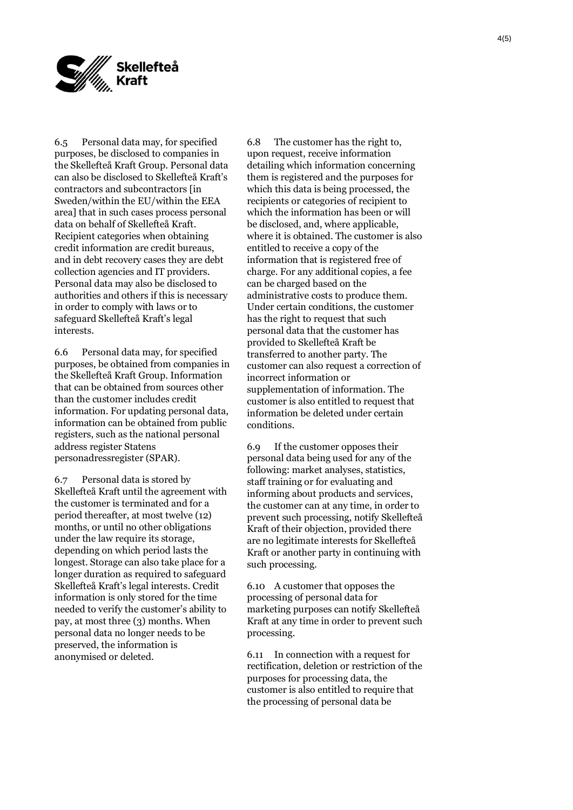

6.5 Personal data may, for specified purposes, be disclosed to companies in the Skellefteå Kraft Group. Personal data can also be disclosed to Skellefteå Kraft's contractors and subcontractors [in Sweden/within the EU/within the EEA area] that in such cases process personal data on behalf of Skellefteå Kraft. Recipient categories when obtaining credit information are credit bureaus, and in debt recovery cases they are debt collection agencies and IT providers. Personal data may also be disclosed to authorities and others if this is necessary in order to comply with laws or to safeguard Skellefteå Kraft's legal interests.

6.6 Personal data may, for specified purposes, be obtained from companies in the Skellefteå Kraft Group. Information that can be obtained from sources other than the customer includes credit information. For updating personal data, information can be obtained from public registers, such as the national personal address register Statens personadressregister (SPAR).

6.7 Personal data is stored by Skellefteå Kraft until the agreement with the customer is terminated and for a period thereafter, at most twelve (12) months, or until no other obligations under the law require its storage, depending on which period lasts the longest. Storage can also take place for a longer duration as required to safeguard Skellefteå Kraft's legal interests. Credit information is only stored for the time needed to verify the customer's ability to pay, at most three (3) months. When personal data no longer needs to be preserved, the information is anonymised or deleted.

6.8 The customer has the right to, upon request, receive information detailing which information concerning them is registered and the purposes for which this data is being processed, the recipients or categories of recipient to which the information has been or will be disclosed, and, where applicable, where it is obtained. The customer is also entitled to receive a copy of the information that is registered free of charge. For any additional copies, a fee can be charged based on the administrative costs to produce them. Under certain conditions, the customer has the right to request that such personal data that the customer has provided to Skellefteå Kraft be transferred to another party. The customer can also request a correction of incorrect information or supplementation of information. The customer is also entitled to request that information be deleted under certain conditions.

6.9 If the customer opposes their personal data being used for any of the following: market analyses, statistics, staff training or for evaluating and informing about products and services, the customer can at any time, in order to prevent such processing, notify Skellefteå Kraft of their objection, provided there are no legitimate interests for Skellefteå Kraft or another party in continuing with such processing.

6.10 A customer that opposes the processing of personal data for marketing purposes can notify Skellefteå Kraft at any time in order to prevent such processing.

6.11 In connection with a request for rectification, deletion or restriction of the purposes for processing data, the customer is also entitled to require that the processing of personal data be